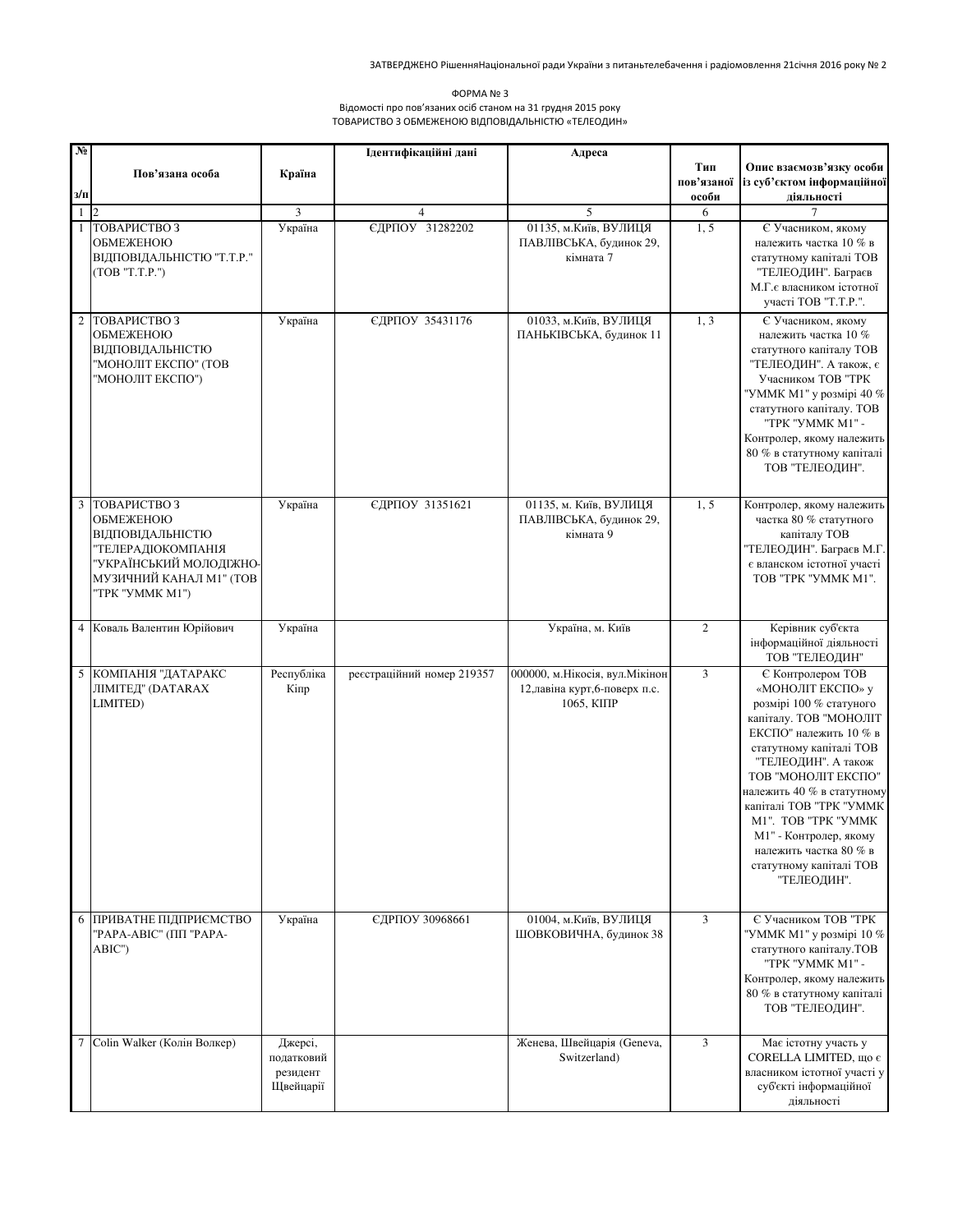| ΦOPMA Nº 3                                                  |
|-------------------------------------------------------------|
| Відомості про пов'язаних осіб станом на 31 грудня 2015 року |
| ТОВАРИСТВО З ОБМЕЖЕНОЮ ВІДПОВІДАЛЬНІСТЮ «ТЕЛЕОДИН»          |

| $N_2$   |                                               |                       | Ідентифікаційні дані       | Адреса                                       |                |                                                        |
|---------|-----------------------------------------------|-----------------------|----------------------------|----------------------------------------------|----------------|--------------------------------------------------------|
|         | Пов'язана особа                               | Країна                |                            |                                              | Тип            | Опис взаємозв'язку особи                               |
| $3/\Pi$ |                                               |                       |                            |                                              | пов'язаної     | із суб'єктом інформаційної                             |
|         | $1\vert$ $\vert$ $2\vert$                     | 3                     | $\overline{4}$             | 5                                            | особи<br>6     | діяльності                                             |
|         | 1 TOBAPICTBO3                                 | Україна               | ЄДРПОУ 31282202            | 01135, м. Київ, ВУЛИЦЯ                       | 1, 5           | Є Учасником, якому                                     |
|         | ОБМЕЖЕНОЮ                                     |                       |                            | ПАВЛІВСЬКА, будинок 29,                      |                | належить частка 10 % в                                 |
|         | ВІДПОВІДАЛЬНІСТЮ "Т.Т.Р."                     |                       |                            | кімната 7                                    |                | статутному капіталі ТОВ                                |
|         | (TOB "T.T.P." )                               |                       |                            |                                              |                | "ТЕЛЕОДИН". Баграєв<br>М.Г. є власником істотної       |
|         |                                               |                       |                            |                                              |                | участі ТОВ "Т.Т.Р.".                                   |
|         | 2 ТОВАРИСТВОЗ                                 | Україна               | ЄДРПОУ 35431176            | 01033, м. Київ, ВУЛИЦЯ                       | 1, 3           | Є Учасником, якому                                     |
|         | ОБМЕЖЕНОЮ                                     |                       |                            | ПАНЬКІВСЬКА, будинок 11                      |                | належить частка 10 %                                   |
|         | ВІДПОВІДАЛЬНІСТЮ<br>"МОНОЛІТ ЕКСПО" (ТОВ      |                       |                            |                                              |                | статутного капіталу ТОВ<br>"ТЕЛЕОДИН". А також, є      |
|         | "МОНОЛІТ ЕКСПО")                              |                       |                            |                                              |                | Учасником ТОВ "ТРК                                     |
|         |                                               |                       |                            |                                              |                | "УММК М1" у розмірі 40 %                               |
|         |                                               |                       |                            |                                              |                | статутного капіталу. ТОВ<br>"TPK "YMMK M1" -           |
|         |                                               |                       |                            |                                              |                | Контролер, якому належить                              |
|         |                                               |                       |                            |                                              |                | 80 % в статутному капіталі                             |
|         |                                               |                       |                            |                                              |                | ТОВ "ТЕЛЕОДИН".                                        |
|         | 3 ТОВАРИСТВОЗ                                 | Україна               | ЄДРПОУ 31351621            | 01135, м. Київ, ВУЛИЦЯ                       | 1, 5           | Контролер, якому належить                              |
|         | ОБМЕЖЕНОЮ                                     |                       |                            | ПАВЛІВСЬКА, будинок 29,                      |                | частка 80 % статутного                                 |
|         | ВІДПОВІДАЛЬНІСТЮ                              |                       |                            | кімната 9                                    |                | капіталу ТОВ                                           |
|         | "ТЕЛЕРАДІОКОМПАНІЯ<br>"УКРАЇНСЬКИЙ МОЛОДІЖНО- |                       |                            |                                              |                | "ТЕЛЕОДИН". Баграєв М.Г.<br>є вланском істотної участі |
|         | МУЗИЧНИЙ КАНАЛ М1" (ТОВ                       |                       |                            |                                              |                | TOB "TPK "YMMK M1".                                    |
|         | "TPK "YMMK M1")                               |                       |                            |                                              |                |                                                        |
|         |                                               |                       |                            |                                              |                |                                                        |
|         | 4 Коваль Валентин Юрійович                    | Україна               |                            | Україна, м. Київ                             | $\overline{c}$ | Керівник суб'єкта<br>інформаційної діяльності          |
|         |                                               |                       |                            |                                              |                | ТОВ "ТЕЛЕОДИН"                                         |
|         | 5 КОМПАНІЯ "ДАТАРАКС                          | Республіка            | реєстраційний номер 219357 | 000000, м. Нікосія, вул. Мікінон             | $\overline{3}$ | Є Контролером ТОВ                                      |
|         | ЛІМІТЕД" (DATARAX<br>LIMITED)                 | Кіпр                  |                            | 12, лавіна курт, 6-поверх п.с.<br>1065, КППР |                | «МОНОЛІТ ЕКСПО» у<br>розмірі 100 % статуного           |
|         |                                               |                       |                            |                                              |                | капіталу. ТОВ "МОНОЛІТ                                 |
|         |                                               |                       |                            |                                              |                | ЕКСПО" належить 10 % в                                 |
|         |                                               |                       |                            |                                              |                | статутному капіталі ТОВ<br>"ТЕЛЕОДИН". А також         |
|         |                                               |                       |                            |                                              |                | ТОВ "МОНОЛІТ ЕКСПО"                                    |
|         |                                               |                       |                            |                                              |                | належить 40 % в статутному                             |
|         |                                               |                       |                            |                                              |                | капіталі ТОВ "ТРК "УММК<br>M1". TOB "TPK "YMMK         |
|         |                                               |                       |                            |                                              |                | М1" - Контролер, якому                                 |
|         |                                               |                       |                            |                                              |                | належить частка 80 % в                                 |
|         |                                               |                       |                            |                                              |                | статутному капіталі ТОВ<br>"ТЕЛЕОДИН".                 |
|         |                                               |                       |                            |                                              |                |                                                        |
|         | 6 ПРИВАТНЕ ПІДПРИЄМСТВО                       | Україна               | ЄДРПОУ 30968661            | 01004, м. Київ, ВУЛИЦЯ                       | 3              | Є Учасником ТОВ "ТРК                                   |
|         | "РАРА-АВІС" (ПП "РАРА-                        |                       |                            | ШОВКОВИЧНА, будинок 38                       |                | "УММК М1" у розмірі 10 %                               |
|         | ABIC")                                        |                       |                            |                                              |                | статутного капіталу. ТОВ                               |
|         |                                               |                       |                            |                                              |                | "TPK "YMMK M1" -<br>Контролер, якому належить          |
|         |                                               |                       |                            |                                              |                | 80 % в статутному капіталі                             |
|         |                                               |                       |                            |                                              |                | ТОВ "ТЕЛЕОДИН".                                        |
|         |                                               |                       |                            |                                              |                |                                                        |
|         | 7 Colin Walker (Колін Волкер)                 | Джерсі,<br>податковий |                            | Женева, Швейцарія (Geneva,<br>Switzerland)   | $\mathfrak{Z}$ | Має істотну участь у<br>CORELLA LIMITED, що є          |
|         |                                               | резидент              |                            |                                              |                | власником істотної участі у                            |
|         |                                               | Щвейцарії             |                            |                                              |                | суб'єкті інформаційної                                 |
|         |                                               |                       |                            |                                              |                | діяльності                                             |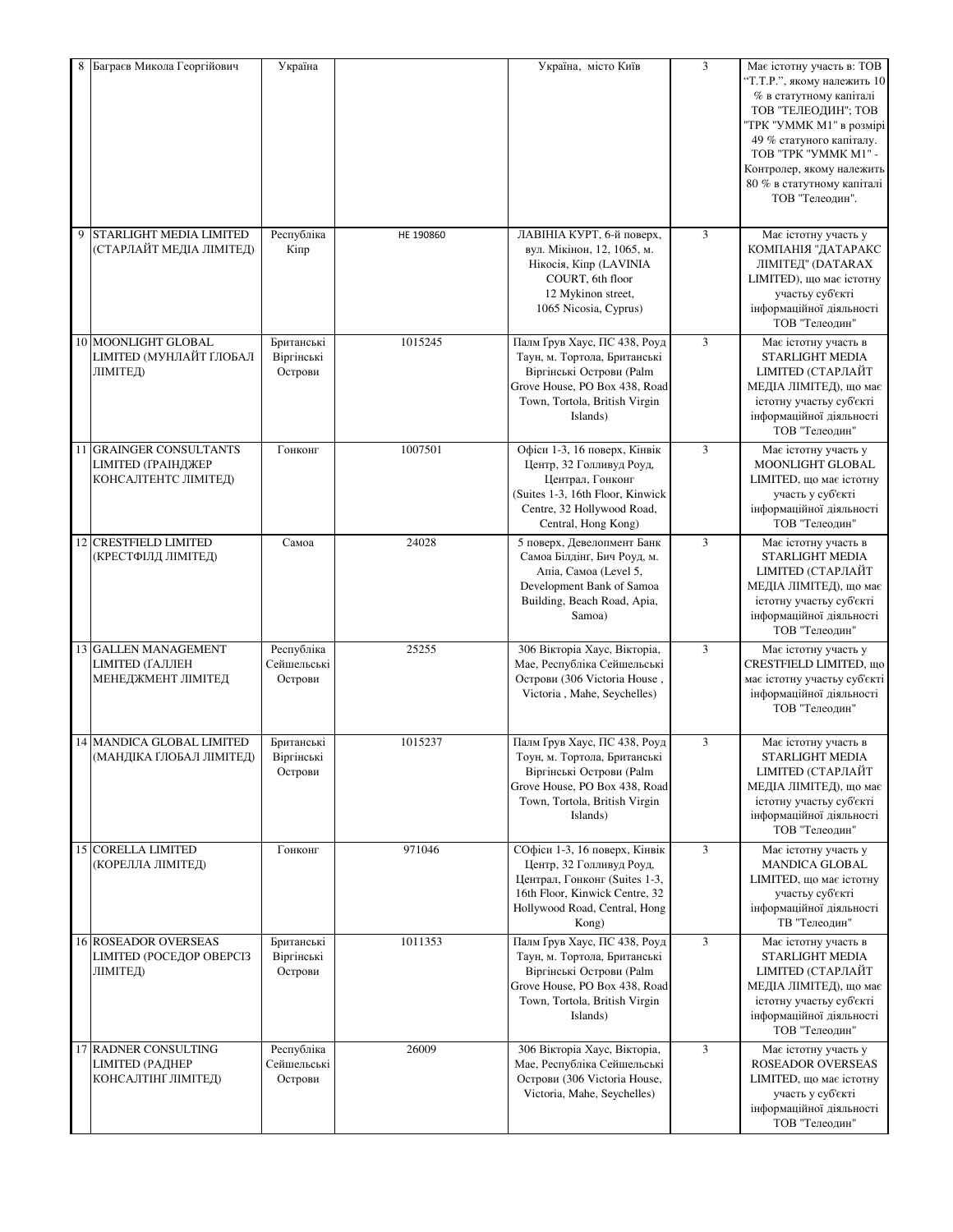|   | Баграєв Микола Георгійович                                                   | Україна                              |           | Україна, місто Київ                                                                                                                                                    | 3 | Має істотну участь в: ТОВ<br>"Т.Т.Р.", якому належить 10<br>% в статутному капіталі<br>ТОВ "ТЕЛЕОДИН"; ТОВ<br>"ТРК "УММК М1" в розмірі<br>49 % статуного капіталу.<br>TOB "TPK "YMMK M1" -<br>Контролер, якому належить<br>80 % в статутному капіталі<br>ТОВ "Телеодин". |
|---|------------------------------------------------------------------------------|--------------------------------------|-----------|------------------------------------------------------------------------------------------------------------------------------------------------------------------------|---|--------------------------------------------------------------------------------------------------------------------------------------------------------------------------------------------------------------------------------------------------------------------------|
| 9 | STARLIGHT MEDIA LIMITED<br>(СТАРЛАЙТ МЕДІА ЛІМІТЕД)                          | Республіка<br>Кіпр                   | HE 190860 | ЛАВІНІА КУРТ, 6-й поверх,<br>вул. Мікінон, 12, 1065, м.<br>Нікосія, Кіпр (LAVINIA<br>COURT, 6th floor<br>12 Mykinon street,<br>1065 Nicosia, Cyprus)                   | 3 | Має істотну участь у<br>КОМПАНІЯ "ДАТАРАКС<br>ЛІМІТЕД" (DATARAX<br>LIMITED), що має істотну<br>участьу суб'єкті<br>інформаційної діяльності<br>ТОВ "Телеодин"                                                                                                            |
|   | 10 MOONLIGHT GLOBAL<br><b>LIMITED (МУНЛАЙТ ҐЛОБАЛ</b><br>ЛІМІТЕД)            | Британські<br>Віргінські<br>Острови  | 1015245   | Палм Ґрув Хаус, ПС 438, Роуд<br>Таун, м. Тортола, Британські<br>Віргінські Острови (Palm<br>Grove House, PO Box 438, Road<br>Town, Tortola, British Virgin<br>Islands) | 3 | Має істотну участь в<br><b>STARLIGHT MEDIA</b><br><b>LIMITED (СТАРЛАЙТ</b><br>МЕДІА ЛІМІТЕД), що має<br>істотну участьу суб'єкті<br>інформаційної діяльності<br>ТОВ "Телеодин"                                                                                           |
|   | 11 GRAINGER CONSULTANTS<br><b>LIMITED (ГРАІНДЖЕР</b><br>КОНСАЛТЕНТС ЛІМІТЕД) | Гонконг                              | 1007501   | Офіси 1-3, 16 поверх, Кінвік<br>Центр, 32 Голливуд Роуд,<br>Централ, Гонконг<br>(Suites 1-3, 16th Floor, Kinwick<br>Centre, 32 Hollywood Road,<br>Central, Hong Kong)  | 3 | Має істотну участь у<br>MOONLIGHT GLOBAL<br><b>LIMITED</b> , що має істотну<br>участь у суб'єкті<br>інформаційної діяльності<br>ТОВ "Телеодин"                                                                                                                           |
|   | 12 CRESTFIELD LIMITED<br>(КРЕСТФІЛД ЛІМІТЕД)                                 | Самоа                                | 24028     | 5 поверх, Девелопмент Банк<br>Самоа Білдінг, Бич Роуд, м.<br>Апіа, Самоа (Level 5,<br>Development Bank of Samoa<br>Building, Beach Road, Apia,<br>Samoa)               | 3 | Має істотну участь в<br><b>STARLIGHT MEDIA</b><br><b>LIMITED (СТАРЛАЙТ</b><br>МЕДІА ЛІМІТЕД), що має<br>істотну участьу суб'єкті<br>інформаційної діяльності<br>ТОВ "Телеодин"                                                                                           |
|   | 13 GALLEN MANAGEMENT<br><b>LIMITED (ГАЛЛЕН</b><br>МЕНЕДЖМЕНТ ЛІМІТЕД         | Республіка<br>Сейшельські<br>Острови | 25255     | 306 Вікторіа Хаус, Вікторіа,<br>Мае, Республіка Сейшельські<br>Острови (306 Victoria House,<br>Victoria, Mahe, Seychelles)                                             | 3 | Має істотну участь у<br><b>CRESTFIELD LIMITED, що</b><br>має істотну участьу суб'єкті<br>інформаційної діяльності<br>ТОВ "Телеолин"                                                                                                                                      |
|   | 14 MANDICA GLOBAL LIMITED<br>(МАНДІКА ҐЛОБАЛ ЛІМІТЕД)                        | Британські<br>Віргінські<br>Острови  | 1015237   | Палм Ґрув Хаус, ПС 438, Роуд<br>Тоун, м. Тортола, Британські<br>Віргінські Острови (Palm<br>Grove House, PO Box 438, Road<br>Town, Tortola, British Virgin<br>Islands) | 3 | Має істотну участь в<br>STARLIGHT MEDIA<br><b>LIMITED (СТАРЛАЙТ</b><br>МЕДІА ЛІМІТЕД), що має<br>істотну участьу суб'єкті<br>інформаційної діяльності<br>ТОВ "Телеодин"                                                                                                  |
|   | <b>15 CORELLA LIMITED</b><br>(КОРЕЛЛА ЛІМІТЕД)                               | Гонконг                              | 971046    | СОфіси 1-3, 16 поверх, Кінвік<br>Центр, 32 Голливуд Роуд,<br>Централ, Гонконг (Suites 1-3,<br>16th Floor, Kinwick Centre, 32<br>Hollywood Road, Central, Hong<br>Kong) | 3 | Має істотну участь у<br><b>MANDICA GLOBAL</b><br><b>LIMITED</b> , що має істотну<br>участьу суб'єкті<br>інформаційної діяльності<br>ТВ "Телеодин"                                                                                                                        |
|   | <b>16 ROSEADOR OVERSEAS</b><br><b>LIMITED (РОСЕДОР ОВЕРСІЗ</b><br>ЛІМІТЕД)   | Британські<br>Віргінські<br>Острови  | 1011353   | Палм Ґрув Хаус, ПС 438, Роуд<br>Таун, м. Тортола, Британські<br>Віргінські Острови (Palm<br>Grove House, PO Box 438, Road<br>Town, Tortola, British Virgin<br>Islands) | 3 | Має істотну участь в<br>STARLIGHT MEDIA<br><b>LIMITED (СТАРЛАЙТ</b><br>МЕДІА ЛІМІТЕД), що має<br>істотну участьу суб'єкті<br>інформаційної діяльності<br>ТОВ "Телеодин"                                                                                                  |
|   | 17 RADNER CONSULTING<br><b>LIMITED (РАДНЕР</b><br>КОНСАЛТІНҐ ЛІМІТЕД)        | Республіка<br>Сейшельські<br>Острови | 26009     | 306 Вікторіа Хаус, Вікторіа,<br>Мае, Республіка Сейшельські<br>Острови (306 Victoria House,<br>Victoria, Mahe, Seychelles)                                             | 3 | Має істотну участь у<br>ROSEADOR OVERSEAS<br>LIMITED, що має істотну<br>участь у суб'єкті<br>інформаційної діяльності<br>ТОВ "Телеодин"                                                                                                                                  |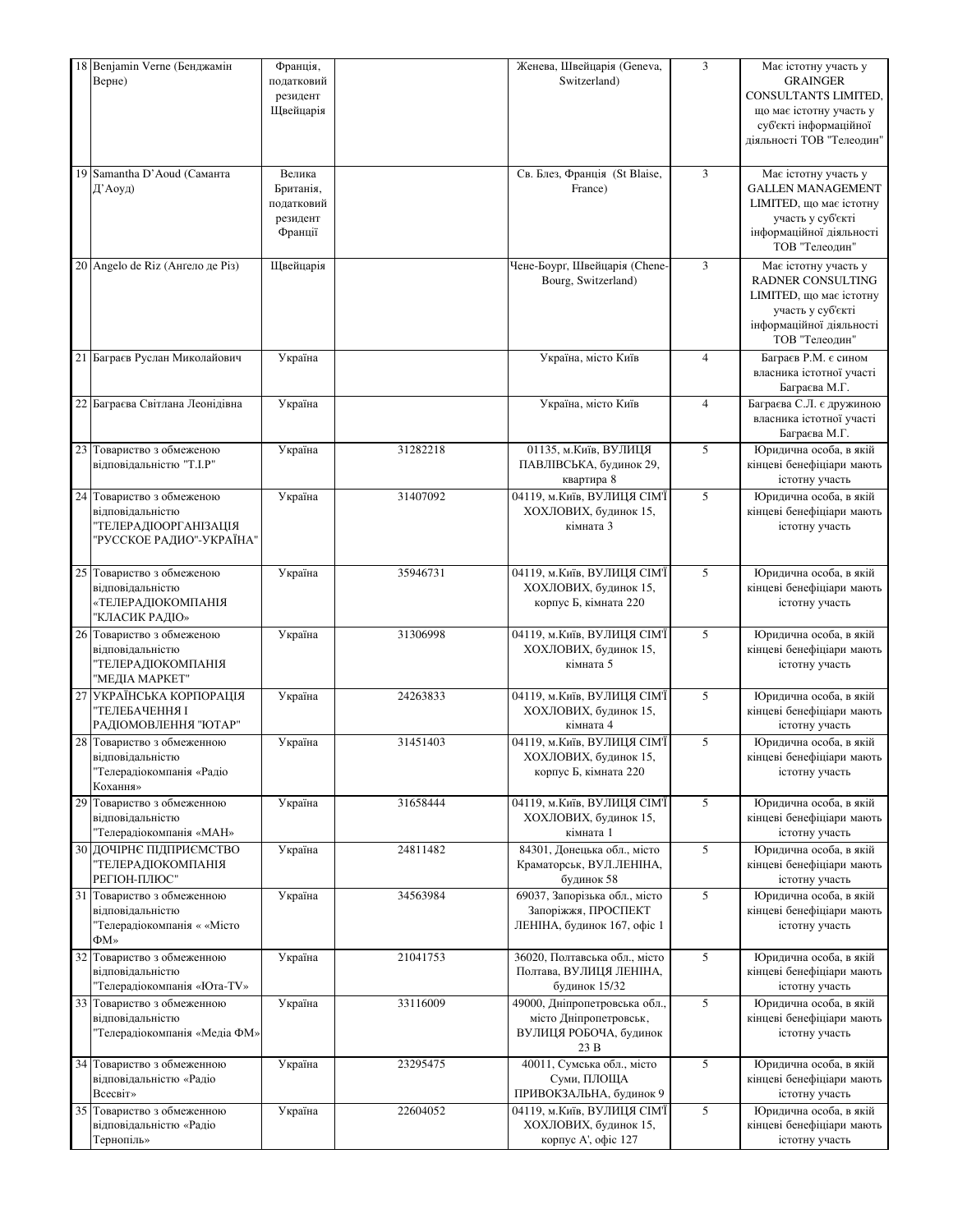| 18 Benjamin Verne (Бенджамін<br>Верне)                                                            | Франція,<br>податковий<br>резидент<br>Щвейцарія          |          | Женева, Швейцарія (Geneva,<br>Switzerland)                                                | 3              | Має істотну участь у<br><b>GRAINGER</b><br>CONSULTANTS LIMITED,<br>що має істотну участь у<br>суб'єкті інформаційної<br>діяльності ТОВ "Телеодин"      |
|---------------------------------------------------------------------------------------------------|----------------------------------------------------------|----------|-------------------------------------------------------------------------------------------|----------------|--------------------------------------------------------------------------------------------------------------------------------------------------------|
| 19 Samantha D'Aoud (Саманта<br>Д'Аоуд)                                                            | Велика<br>Британія,<br>податковий<br>резидент<br>Франції |          | Св. Блез, Франція (St Blaise,<br>France)                                                  | $\mathfrak{Z}$ | Має істотну участь у<br><b>GALLEN MANAGEMENT</b><br><b>LIMITED</b> , що має істотну<br>участь у суб'єкті<br>інформаційної діяльності<br>ТОВ "Телеолин" |
| 20 Angelo de Riz (Ангело де Різ)                                                                  | Щвейцарія                                                |          | Чене-Боург, Швейцарія (Chene-<br>Bourg, Switzerland)                                      | $\mathfrak{Z}$ | Має істотну участь у<br><b>RADNER CONSULTING</b><br><b>LIMITED</b> , що має істотну<br>участь у суб'єкті<br>інформаційної діяльності<br>ТОВ "Телеодин" |
| 21 Баграєв Руслан Миколайович                                                                     | Україна                                                  |          | Україна, місто Київ                                                                       | $\overline{4}$ | Баграєв Р.М. є сином<br>власника істотної участі<br>Баграєва М.Г.                                                                                      |
| 22 Баграєва Світлана Леонідівна                                                                   | Україна                                                  |          | Україна, місто Київ                                                                       | $\overline{4}$ | Баграєва С.Л. є дружиною<br>власника істотної участі<br>Баграєва М.Г.                                                                                  |
| 23 Товариство з обмеженою<br>відповідальністю "Т.І.Р"                                             | Україна                                                  | 31282218 | 01135, м. Київ, ВУЛИЦЯ<br>ПАВЛІВСЬКА, будинок 29,<br>квартира 8                           | 5              | Юридична особа, в якій<br>кінцеві бенефіціари мають<br>істотну участь                                                                                  |
| 24 Товариство з обмеженою<br>відповідальністю<br>ТЕЛЕРАДІООРГАНІЗАЦІЯ<br>"РУССКОЕ РАДИО"-УКРАЇНА" | Україна                                                  | 31407092 | 04119, м. Київ, ВУЛИЦЯ СІМ'Ї<br>ХОХЛОВИХ, будинок 15,<br>кімната 3                        | 5              | Юридична особа, в якій<br>кінцеві бенефіціари мають<br>істотну участь                                                                                  |
| 25 Товариство з обмеженою<br>відповідальністю<br>«ТЕЛЕРАДІОКОМПАНІЯ<br>'КЛАСИК РАДІО»             | Україна                                                  | 35946731 | 04119, м. Київ, ВУЛИЦЯ СІМ'Ї<br>ХОХЛОВИХ, будинок 15,<br>корпус Б, кімната 220            | 5              | Юридична особа, в якій<br>кінцеві бенефіціари мають<br>істотну участь                                                                                  |
| 26 Товариство з обмеженою<br>відповідальністю<br>ТЕЛЕРАДІОКОМПАНІЯ<br>"МЕДІА МАРКЕТ"              | Україна                                                  | 31306998 | 04119, м. Київ, ВУЛИЦЯ СІМ'Ї<br>ХОХЛОВИХ, будинок 15,<br>кімната 5                        | 5              | Юридична особа, в якій<br>кінцеві бенефіціари мають<br>істотну участь                                                                                  |
| 27 УКРАЇНСЬКА КОРПОРАЦІЯ<br>ТЕЛЕБАЧЕННЯ І<br>РАДІОМОВЛЕННЯ "ЮТАР"                                 | Україна                                                  | 24263833 | 04119, м. Київ, ВУЛИЦЯ СІМ'Ї<br>ХОХЛОВИХ, будинок 15,<br>кімната 4                        | 5              | Юридична особа, в якій<br>кінцеві бенефіціари мають<br>істотну участь                                                                                  |
| 28 Товариство з обмеженною<br>відповідальністю<br>Телерадіокомпанія «Радіо<br>Кохання»            | Україна                                                  | 31451403 | 04119, м. Київ, ВУЛИЦЯ СІМ'Ї<br>ХОХЛОВИХ, будинок 15,<br>корпус Б, кімната 220            | 5              | Юридична особа, в якій<br>кінцеві бенефіціари мають<br>істотну участь                                                                                  |
| 29 Товариство з обмеженною<br>відповідальністю<br>Телерадіокомпанія «МАН»                         | Україна                                                  | 31658444 | 04119, м. Київ, ВУЛИЦЯ СІМ'Ї<br>ХОХЛОВИХ, будинок 15,<br>кімната 1                        | 5              | Юридична особа, в якій<br>кінцеві бенефіціари мають<br>істотну участь                                                                                  |
| 30 ДОЧІРНЄ ПІДПРИЄМСТВО<br>ТЕЛЕРАДІОКОМПАНІЯ<br>РЕГІОН-ПЛЮС"                                      | Україна                                                  | 24811482 | 84301, Донецька обл., місто<br>Краматорськ, ВУЛ.ЛЕНІНА,<br>будинок 58                     | 5              | Юридична особа, в якій<br>кінцеві бенефіціари мають<br>істотну участь                                                                                  |
| 31 Товариство з обмеженною<br>відповідальністю<br>Телерадіокомпанія « «Місто<br>$\Phi M$ »        | Україна                                                  | 34563984 | 69037, Запорізька обл., місто<br>Запоріжжя, ПРОСПЕКТ<br>ЛЕНІНА, будинок 167, офіс 1       | 5              | Юридична особа, в якій<br>кінцеві бенефіціари мають<br>істотну участь                                                                                  |
| 32 Товариство з обмеженною<br>відповідальністю<br>Телерадіокомпанія «Юта-TV»                      | Україна                                                  | 21041753 | 36020, Полтавська обл., місто<br>Полтава, ВУЛИЦЯ ЛЕНІНА,<br>будинок 15/32                 | 5              | Юридична особа, в якій<br>кінцеві бенефіціари мають<br>істотну участь                                                                                  |
| 33 Товариство з обмеженною<br>відповідальністю<br>Телерадіокомпанія «Медіа ФМ»                    | Україна                                                  | 33116009 | 49000, Дніпропетровська обл.,<br>місто Дніпропетровськ,<br>ВУЛИЦЯ РОБОЧА, будинок<br>23 B | 5              | Юридична особа, в якій<br>кінцеві бенефіціари мають<br>істотну участь                                                                                  |
| 34 Товариство з обмеженною<br>відповідальністю «Радіо<br>Всесвіт»                                 | Україна                                                  | 23295475 | 40011, Сумська обл., місто<br>Суми, ПЛОЩА<br>ПРИВОКЗАЛЬНА, будинок 9                      | 5              | Юридична особа, в якій<br>кінцеві бенефіціари мають<br>істотну участь                                                                                  |
| 35 Товариство з обмеженною<br>відповідальністю «Радіо<br>Тернопіль»                               | Україна                                                  | 22604052 | 04119, м. Київ, ВУЛИЦЯ СІМ'Ї<br>ХОХЛОВИХ, будинок 15,<br>корпус А', офіс 127              | 5              | Юридична особа, в якій<br>кінцеві бенефіціари мають<br>істотну участь                                                                                  |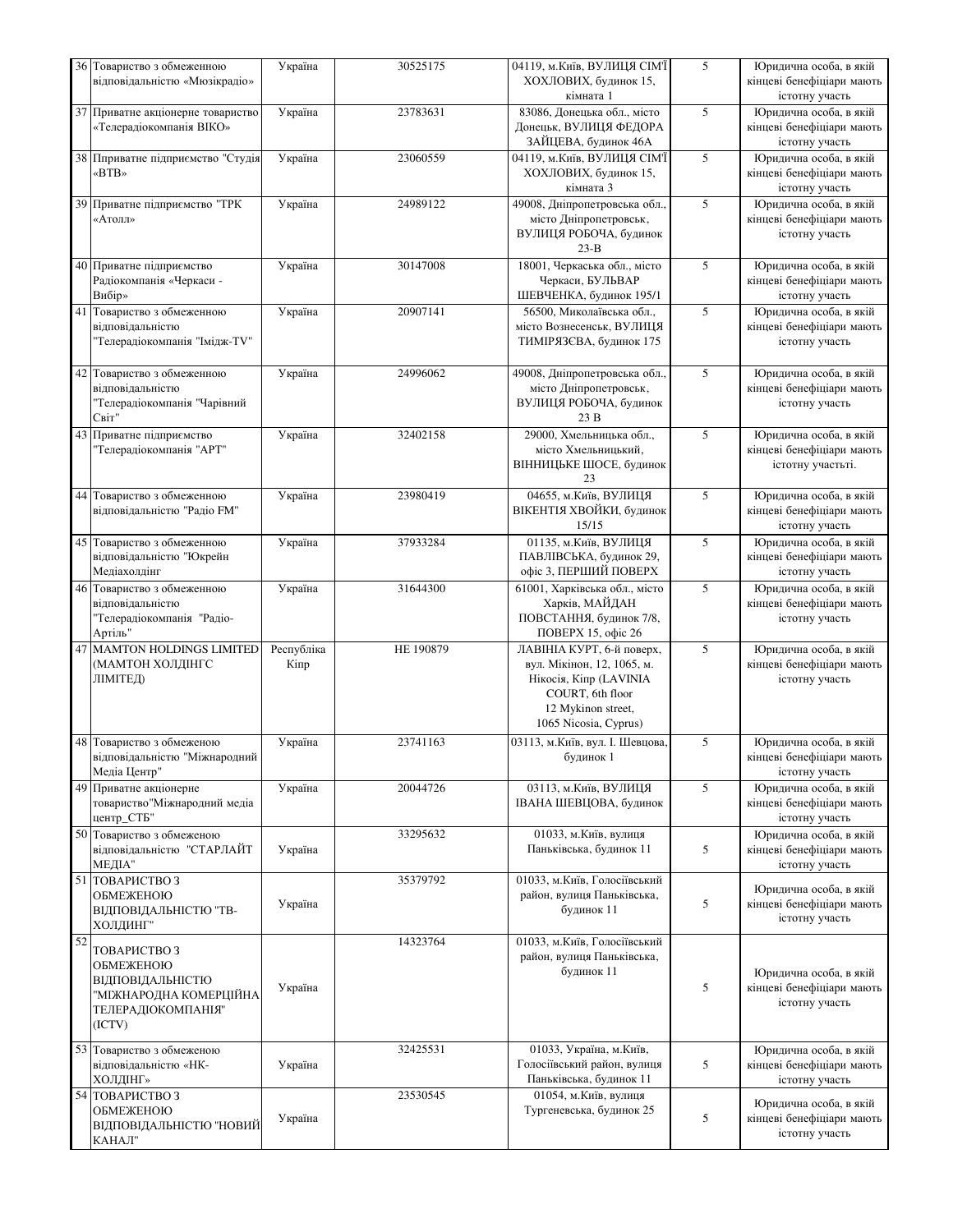|    | 36 Товариство з обмеженною                                | Україна    | 30525175  | 04119, м. Київ, ВУЛИЦЯ СІМЇ                          | 5 | Юридична особа, в якій                      |
|----|-----------------------------------------------------------|------------|-----------|------------------------------------------------------|---|---------------------------------------------|
|    | відповідальністю «Мюзікрадіо»                             |            |           | ХОХЛОВИХ, будинок 15,<br>кімната 1                   |   | кінцеві бенефіціари мають<br>істотну участь |
|    | 37 Приватне акціонерне товариство                         | Україна    | 23783631  | 83086, Донецька обл., місто                          | 5 | Юридична особа, в якій                      |
|    | «Телерадіокомпанія ВІКО»                                  |            |           | Донецьк, ВУЛИЦЯ ФЕДОРА                               |   | кінцеві бенефіціари мають                   |
|    | 38 Пприватне підприємство "Студія                         | Україна    | 23060559  | ЗАЙЦЕВА, будинок 46А<br>04119, м. Київ, ВУЛИЦЯ СІМ'Ї | 5 | істотну участь<br>Юридична особа, в якій    |
|    | «BTB»                                                     |            |           | ХОХЛОВИХ, будинок 15,                                |   | кінцеві бенефіціари мають                   |
|    |                                                           |            |           | кімната 3                                            |   | істотну участь                              |
|    | 39 Приватне підприємство "ТРК                             | Україна    | 24989122  | 49008, Дніпропетровська обл.,                        | 5 | Юридична особа, в якій                      |
|    | «Атолл»                                                   |            |           | місто Дніпропетровськ,                               |   | кінцеві бенефіціари мають                   |
|    |                                                           |            |           | ВУЛИЦЯ РОБОЧА, будинок                               |   | істотну участь                              |
|    |                                                           |            |           | $23-B$                                               |   |                                             |
|    | 40 Приватне підприємство                                  | Україна    | 30147008  | 18001, Черкаська обл., місто<br>Черкаси, БУЛЬВАР     | 5 | Юридична особа, в якій                      |
|    | Радіокомпанія «Черкаси -<br>Вибір»                        |            |           | ШЕВЧЕНКА, будинок 195/1                              |   | кінцеві бенефіціари мають<br>істотну участь |
|    | 41 Товариство з обмеженною                                | Україна    | 20907141  | 56500, Миколаївська обл.,                            | 5 | Юридична особа, в якій                      |
|    | відповідальністю                                          |            |           | місто Вознесенськ, ВУЛИЦЯ                            |   | кінцеві бенефіціари мають                   |
|    | 'Телерадіокомпанія "Імідж-TV"                             |            |           | ТИМІРЯЗЄВА, будинок 175                              |   | істотну участь                              |
|    |                                                           |            |           |                                                      |   |                                             |
|    | 42 Товариство з обмеженною                                | Україна    | 24996062  | 49008, Дніпропетровська обл.,                        | 5 | Юридична особа, в якій                      |
|    | відповідальністю<br>Телерадіокомпанія "Чарівний           |            |           | місто Дніпропетровськ,<br>ВУЛИЦЯ РОБОЧА, будинок     |   | кінцеві бенефіціари мають<br>істотну участь |
|    | Світ"                                                     |            |           | 23 B                                                 |   |                                             |
|    | 43 Приватне підприємство                                  | Україна    | 32402158  | 29000, Хмельницька обл.,                             | 5 | Юридична особа, в якій                      |
|    | Телерадіокомпанія "АРТ"                                   |            |           | місто Хмельницький,                                  |   | кінцеві бенефіціари мають                   |
|    |                                                           |            |           | ВІННИЦЬКЕ ШОСЕ, будинок                              |   | істотну участьті.                           |
|    |                                                           |            |           | 23                                                   |   |                                             |
|    | 44 Товариство з обмеженною<br>відповідальністю "Радіо FM" | Україна    | 23980419  | 04655, м. Київ, ВУЛИЦЯ                               | 5 | Юридична особа, в якій                      |
|    |                                                           |            |           | ВІКЕНТІЯ ХВОЙКИ, будинок<br>15/15                    |   | кінцеві бенефіціари мають<br>істотну участь |
|    | 45 Товариство з обмеженною                                | Україна    | 37933284  | 01135, м. Київ, ВУЛИЦЯ                               | 5 | Юридична особа, в якій                      |
|    | відповідальністю "Юкрейн                                  |            |           | ПАВЛІВСЬКА, будинок 29,                              |   | кінцеві бенефіціари мають                   |
|    | Медіахолдінг                                              |            |           | офіс 3, ПЕРШИЙ ПОВЕРХ                                |   | істотну участь                              |
|    | 46 Товариство з обмеженною                                | Україна    | 31644300  | 61001, Харківська обл., місто                        | 5 | Юридична особа, в якій                      |
|    | відповідальністю<br>Телерадіокомпанія "Радіо-             |            |           | Харків, МАЙДАН<br>ПОВСТАННЯ, будинок 7/8,            |   | кінцеві бенефіціари мають<br>істотну участь |
|    | Артіль"                                                   |            |           | ПОВЕРХ 15, офіс 26                                   |   |                                             |
|    | 47 MAMTON HOLDINGS LIMITED                                | Республіка | HE 190879 | ЛАВІНІА КУРТ, 6-й поверх,                            | 5 | Юридична особа, в якій                      |
|    | (МАМТОН ХОЛДІНГС                                          | Кіпр       |           | вул. Мікінон, 12, 1065, м.                           |   | кінцеві бенефіціари мають                   |
|    | ЛІМІТЕД)                                                  |            |           | Нікосія, Кіпр (LAVINIA                               |   | істотну участь                              |
|    |                                                           |            |           | COURT, 6th floor<br>12 Mykinon street,               |   |                                             |
|    |                                                           |            |           | 1065 Nicosia, Cyprus)                                |   |                                             |
|    | 48 Товариство з обмеженою                                 | Україна    | 23741163  | 03113, м. Київ, вул. І. Шевцова,                     | 5 | Юридична особа, в якій                      |
|    | відповідальністю "Міжнародний                             |            |           | будинок 1                                            |   | кінцеві бенефіціари мають                   |
|    | Медіа Центр"                                              |            |           |                                                      |   | істотну участь                              |
|    | 49 Приватне акціонерне                                    | Україна    | 20044726  | 03113, м.Київ, ВУЛИЦЯ                                | 5 | Юридична особа, в якій                      |
|    | товариство "Міжнародний медіа<br>центр_СТБ"               |            |           | ІВАНА ШЕВЦОВА, будинок                               |   | кінцеві бенефіціари мають<br>істотну участь |
|    | 50 Товариство з обмеженою                                 |            | 33295632  | 01033, м. Київ, вулиця                               |   | Юридична особа, в якій                      |
|    | відповідальністю "СТАРЛАЙТ                                | Україна    |           | Паньківська, будинок 11                              | 5 | кінцеві бенефіціари мають                   |
|    | МЕДІА"                                                    |            |           |                                                      |   | істотну участь                              |
|    | 51 ТОВАРИСТВО З                                           |            | 35379792  | 01033, м. Київ, Голосіївський                        |   | Юридична особа, в якій                      |
|    | ОБМЕЖЕНОЮ                                                 | Україна    |           | район, вулиця Паньківська,<br>будинок 11             | 5 | кінцеві бенефіціари мають                   |
|    | ВІДПОВІДАЛЬНІСТЮ "ТВ-<br>ХОЛДИНГ"                         |            |           |                                                      |   | істотну участь                              |
| 52 |                                                           |            | 14323764  | 01033, м. Київ, Голосіївський                        |   |                                             |
|    | ТОВАРИСТВО З                                              |            |           | район, вулиця Паньківська,                           |   |                                             |
|    | ОБМЕЖЕНОЮ<br>ВІДПОВІДАЛЬНІСТЮ                             |            |           | будинок 11                                           |   | Юридична особа, в якій                      |
|    | "МІЖНАРОДНА КОМЕРЦІЙНА                                    | Україна    |           |                                                      | 5 | кінцеві бенефіціари мають                   |
|    | ТЕЛЕРАДІОКОМПАНІЯ"                                        |            |           |                                                      |   | істотну участь                              |
|    | (ICTV)                                                    |            |           |                                                      |   |                                             |
|    | 53 Товариство з обмеженою                                 |            | 32425531  | 01033, Україна, м. Київ,                             |   | Юридична особа, в якій                      |
|    | відповідальністю «НК-                                     | Україна    |           | Голосіївський район, вулиця                          | 5 | кінцеві бенефіціари мають                   |
|    | <b>ХОЛДІНГ»</b>                                           |            |           | Паньківська, будинок 11                              |   | істотну участь                              |
|    | 54 ТОВАРИСТВО З                                           |            | 23530545  | 01054, м. Київ, вулиця                               |   | Юридична особа, в якій                      |
|    | ОБМЕЖЕНОЮ                                                 | Україна    |           | Тургеневська, будинок 25                             | 5 | кінцеві бенефіціари мають                   |
|    | ВІДПОВІДАЛЬНІСТЮ "НОВИЙ<br>КАНАЛ"                         |            |           |                                                      |   | істотну участь                              |
|    |                                                           |            |           |                                                      |   |                                             |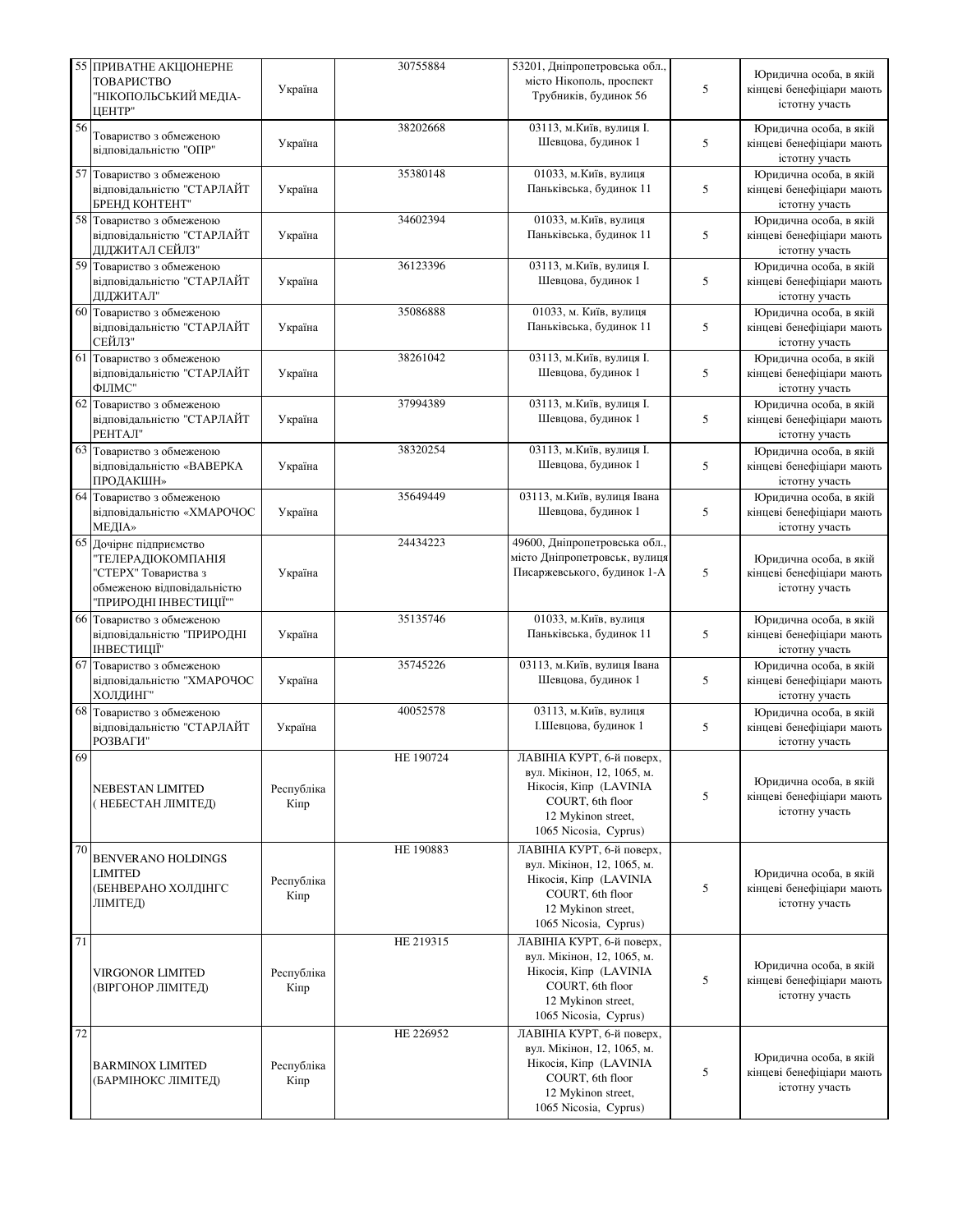|    | 55 ПРИВАТНЕ АКЦІОНЕРНЕ                                                                                                        |                    | 30755884  | 53201, Дніпропетровська обл.,                                                                                                                        |   | Юридична особа, в якій                                                |
|----|-------------------------------------------------------------------------------------------------------------------------------|--------------------|-----------|------------------------------------------------------------------------------------------------------------------------------------------------------|---|-----------------------------------------------------------------------|
|    | ТОВАРИСТВО<br>"НІКОПОЛЬСЬКИЙ МЕДІА-<br><b>IIEHTP"</b>                                                                         | Україна            |           | місто Нікополь, проспект<br>Трубників, будинок 56                                                                                                    | 5 | кінцеві бенефіціари мають<br>істотну участь                           |
| 56 | Товариство з обмеженою<br>відповідальністю "ОПР"                                                                              | Україна            | 38202668  | 03113, м. Київ, вулиця I.<br>Шевцова, будинок 1                                                                                                      | 5 | Юридична особа, в якій<br>кінцеві бенефіціари мають<br>істотну участь |
| 57 | Товариство з обмеженою<br>відповідальністю "СТАРЛАЙТ<br>БРЕНД КОНТЕНТ"                                                        | Україна            | 35380148  | 01033, м. Київ, вулиця<br>Паньківська, будинок 11                                                                                                    | 5 | Юридична особа, в якій<br>кінцеві бенефіціари мають<br>істотну участь |
|    | 58 Товариство з обмеженою<br>відповідальністю "СТАРЛАЙТ<br>ЛІЛЖИТАЛ СЕЙЛЗ"                                                    | Україна            | 34602394  | 01033, м. Київ, вулиця<br>Паньківська, будинок 11                                                                                                    | 5 | Юридична особа, в якій<br>кінцеві бенефіціари мають<br>істотну участь |
|    | 59 Товариство з обмеженою<br>відповідальністю "СТАРЛАЙТ<br>ДІДЖИТАЛ"                                                          | Україна            | 36123396  | 03113, м. Київ, вулиця І.<br>Шевцова, будинок 1                                                                                                      | 5 | Юридична особа, в якій<br>кінцеві бенефіціари мають<br>істотну участь |
|    | 60 Товариство з обмеженою<br>відповідальністю "СТАРЛАЙТ<br>СЕЙЛЗ"                                                             | Україна            | 35086888  | 01033, м. Київ, вулиця<br>Паньківська, будинок 11                                                                                                    | 5 | Юридична особа, в якій<br>кінцеві бенефіціари мають<br>істотну участь |
|    | 61 Товариство з обмеженою<br>відповідальністю "СТАРЛАЙТ<br>ФИЛМС"                                                             | Україна            | 38261042  | 03113, м. Київ, вулиця I.<br>Шевцова, будинок 1                                                                                                      | 5 | Юридична особа, в якій<br>кінцеві бенефіціари мають<br>істотну участь |
|    | 62 Товариство з обмеженою<br>відповідальністю "СТАРЛАЙТ<br>РЕНТАЛ"                                                            | Україна            | 37994389  | 03113, м. Київ, вулиця І.<br>Шевцова, будинок 1                                                                                                      | 5 | Юридична особа, в якій<br>кінцеві бенефіціари мають<br>істотну участь |
|    | 63 Товариство з обмеженою<br>відповідальністю «ВАВЕРКА<br>ПРОДАКШН»                                                           | Україна            | 38320254  | 03113, м. Київ, вулиця І.<br>Шевцова, будинок 1                                                                                                      | 5 | Юридична особа, в якій<br>кінцеві бенефіціари мають<br>істотну участь |
|    | 64 Товариство з обмеженою<br>відповідальністю «ХМАРОЧОС<br>МЕДІА»                                                             | Україна            | 35649449  | 03113, м. Київ, вулиця Івана<br>Шевцова, будинок 1                                                                                                   | 5 | Юридична особа, в якій<br>кінцеві бенефіціари мають<br>істотну участь |
|    | 65 Дочірнє підприємство<br>"ТЕЛЕРАДІОКОМПАНІЯ<br>"СТЕРХ" Товариства з<br>обмеженою відповідальністю<br>"ПРИРОДНІ ІНВЕСТИЦІЇ"" | Україна            | 24434223  | 49600, Дніпропетровська обл.,<br>місто Дніпропетровськ, вулиця<br>Писаржевського, будинок 1-А                                                        | 5 | Юридична особа, в якій<br>кінцеві бенефіціари мають<br>істотну участь |
|    | 66 Товариство з обмеженою<br>відповідальністю "ПРИРОДНІ<br>ІНВЕСТИЦІЇ"                                                        | Україна            | 35135746  | 01033, м. Київ, вулиця<br>Паньківська, будинок 11                                                                                                    | 5 | Юридична особа, в якій<br>кінцеві бенефіціари мають<br>істотну участь |
|    | 67 Товариство з обмеженою<br>відповідальністю "ХМАРОЧОС<br>ХОЛДИНГ"                                                           | Україна            | 35745226  | 03113, м. Київ, вулиця Івана<br>Шевцова, будинок 1                                                                                                   | 5 | Юридична особа, в якій<br>кінцеві бенефіціари мають<br>істотну участь |
|    | 68 Товариство з обмеженою<br>відповідальністю "СТАРЛАЙТ<br>РОЗВАГИ"                                                           | Україна            | 40052578  | 03113, м. Київ, вулиця<br>І.Шевцова, будинок 1                                                                                                       | 5 | Юридична особа, в якій<br>кінцеві бенефіціари мають<br>істотну участь |
| 69 | NEBESTAN LIMITED<br>(НЕБЕСТАН ЛІМІТЕД)                                                                                        | Республіка<br>Кіпр | HE 190724 | ЛАВІНІА КУРТ, 6-й поверх,<br>вул. Мікінон, 12, 1065, м.<br>Нікосія, Кіпр (LAVINIA<br>COURT, 6th floor<br>12 Mykinon street,<br>1065 Nicosia, Cyprus) | 5 | Юридична особа, в якій<br>кінцеві бенефіціари мають<br>істотну участь |
| 70 | <b>BENVERANO HOLDINGS</b><br><b>LIMITED</b><br>(БЕНВЕРАНО ХОЛДІНГС<br>ЛІМІТЕД)                                                | Республіка<br>Кіпр | HE 190883 | ЛАВІНІА КУРТ, 6-й поверх,<br>вул. Мікінон, 12, 1065, м.<br>Нікосія, Кіпр (LAVINIA<br>COURT, 6th floor<br>12 Mykinon street,<br>1065 Nicosia, Cyprus) | 5 | Юридична особа, в якій<br>кінцеві бенефіціари мають<br>істотну участь |
| 71 | <b>VIRGONOR LIMITED</b><br>(ВІРГОНОР ЛІМІТЕД)                                                                                 | Республіка<br>Кіпр | HE 219315 | ЛАВІНІА КУРТ, 6-й поверх,<br>вул. Мікінон, 12, 1065, м.<br>Нікосія, Кіпр (LAVINIA<br>COURT, 6th floor<br>12 Mykinon street,<br>1065 Nicosia, Cyprus) | 5 | Юридична особа, в якій<br>кінцеві бенефіціари мають<br>істотну участь |
| 72 | <b>BARMINOX LIMITED</b><br>(БАРМІНОКС ЛІМІТЕД)                                                                                | Республіка<br>Кіпр | HE 226952 | ЛАВІНІА КУРТ, 6-й поверх,<br>вул. Мікінон, 12, 1065, м.<br>Нікосія, Кіпр (LAVINIA<br>COURT, 6th floor<br>12 Mykinon street,<br>1065 Nicosia, Cyprus) | 5 | Юридична особа, в якій<br>кінцеві бенефіціари мають<br>істотну участь |